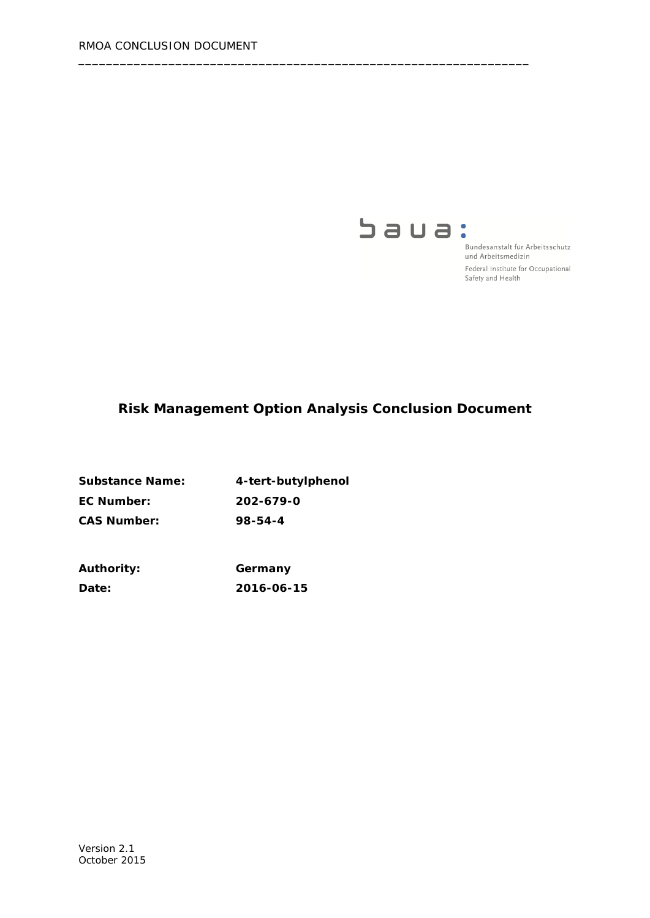

Bundesanstalt für Arbeitsschutz und Arbeitsmedizin Federal Institute for Occupational Safety and Health

# **Risk Management Option Analysis Conclusion Document**

\_\_\_\_\_\_\_\_\_\_\_\_\_\_\_\_\_\_\_\_\_\_\_\_\_\_\_\_\_\_\_\_\_\_\_\_\_\_\_\_\_\_\_\_\_\_\_\_\_\_\_\_\_\_\_\_\_\_\_\_\_\_\_\_\_

| <b>Substance Name:</b> | 4-tert-butylphenol |
|------------------------|--------------------|
| EC Number:             | 202-679-0          |
| <b>CAS Number:</b>     | 98-54-4            |

| <b>Authority:</b> | Germany    |
|-------------------|------------|
| <b>Date:</b>      | 2016-06-15 |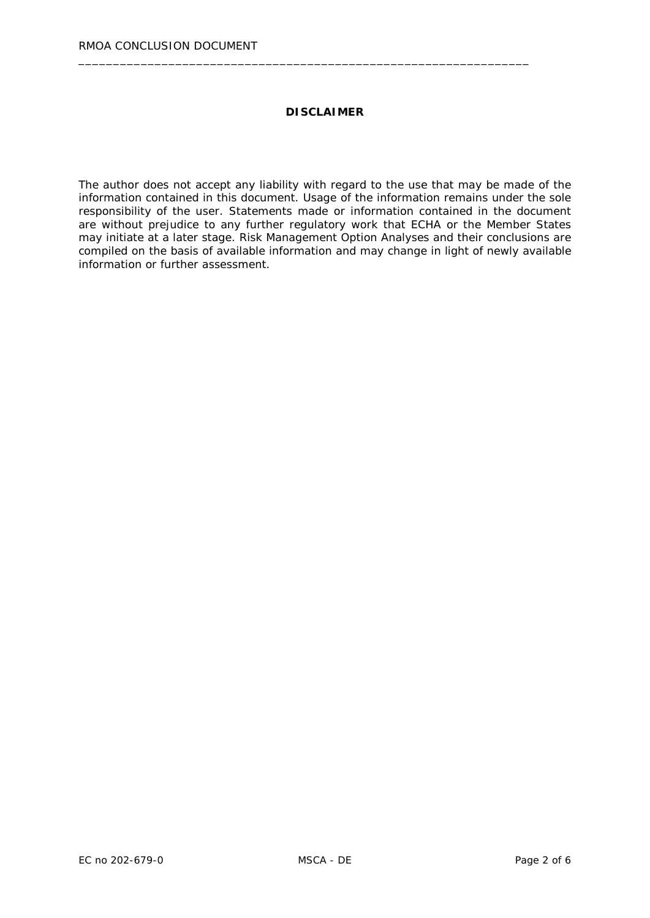#### **DISCLAIMER**

\_\_\_\_\_\_\_\_\_\_\_\_\_\_\_\_\_\_\_\_\_\_\_\_\_\_\_\_\_\_\_\_\_\_\_\_\_\_\_\_\_\_\_\_\_\_\_\_\_\_\_\_\_\_\_\_\_\_\_\_\_\_\_\_\_

The author does not accept any liability with regard to the use that may be made of the information contained in this document. Usage of the information remains under the sole responsibility of the user. Statements made or information contained in the document are without prejudice to any further regulatory work that ECHA or the Member States may initiate at a later stage. Risk Management Option Analyses and their conclusions are compiled on the basis of available information and may change in light of newly available information or further assessment.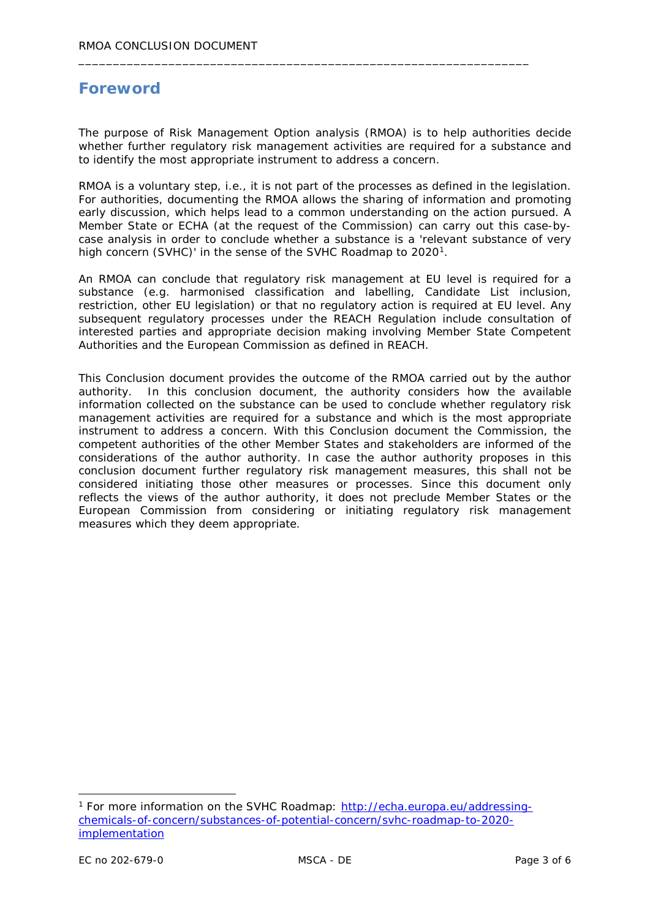# **Foreword**

The purpose of Risk Management Option analysis (RMOA) is to help authorities decide whether further regulatory risk management activities are required for a substance and to identify the most appropriate instrument to address a concern.

\_\_\_\_\_\_\_\_\_\_\_\_\_\_\_\_\_\_\_\_\_\_\_\_\_\_\_\_\_\_\_\_\_\_\_\_\_\_\_\_\_\_\_\_\_\_\_\_\_\_\_\_\_\_\_\_\_\_\_\_\_\_\_\_\_

RMOA is a voluntary step, i.e., it is not part of the processes as defined in the legislation. For authorities, documenting the RMOA allows the sharing of information and promoting early discussion, which helps lead to a common understanding on the action pursued. A Member State or ECHA (at the request of the Commission) can carry out this case-bycase analysis in order to conclude whether a substance is a 'relevant substance of very high concern (SVHC)' in the sense of the SVHC Roadmap to 2020<sup>1</sup>.

An RMOA can conclude that regulatory risk management at EU level is required for a substance (e.g. harmonised classification and labelling, Candidate List inclusion, restriction, other EU legislation) or that no regulatory action is required at EU level. Any subsequent regulatory processes under the REACH Regulation include consultation of interested parties and appropriate decision making involving Member State Competent Authorities and the European Commission as defined in REACH.

This Conclusion document provides the outcome of the RMOA carried out by the author authority. In this conclusion document, the authority considers how the available information collected on the substance can be used to conclude whether regulatory risk management activities are required for a substance and which is the most appropriate instrument to address a concern. With this Conclusion document the Commission, the competent authorities of the other Member States and stakeholders are informed of the considerations of the author authority. In case the author authority proposes in this conclusion document further regulatory risk management measures, this shall not be considered initiating those other measures or processes. Since this document only reflects the views of the author authority, it does not preclude Member States or the European Commission from considering or initiating regulatory risk management measures which they deem appropriate.

<span id="page-2-0"></span> <sup>1</sup> For more information on the SVHC Roadmap: [http://echa.europa.eu/addressing](http://echa.europa.eu/addressing-chemicals-of-concern/substances-of-potential-concern/svhc-roadmap-to-2020-implementation)[chemicals-of-concern/substances-of-potential-concern/svhc-roadmap-to-2020](http://echa.europa.eu/addressing-chemicals-of-concern/substances-of-potential-concern/svhc-roadmap-to-2020-implementation) [implementation](http://echa.europa.eu/addressing-chemicals-of-concern/substances-of-potential-concern/svhc-roadmap-to-2020-implementation)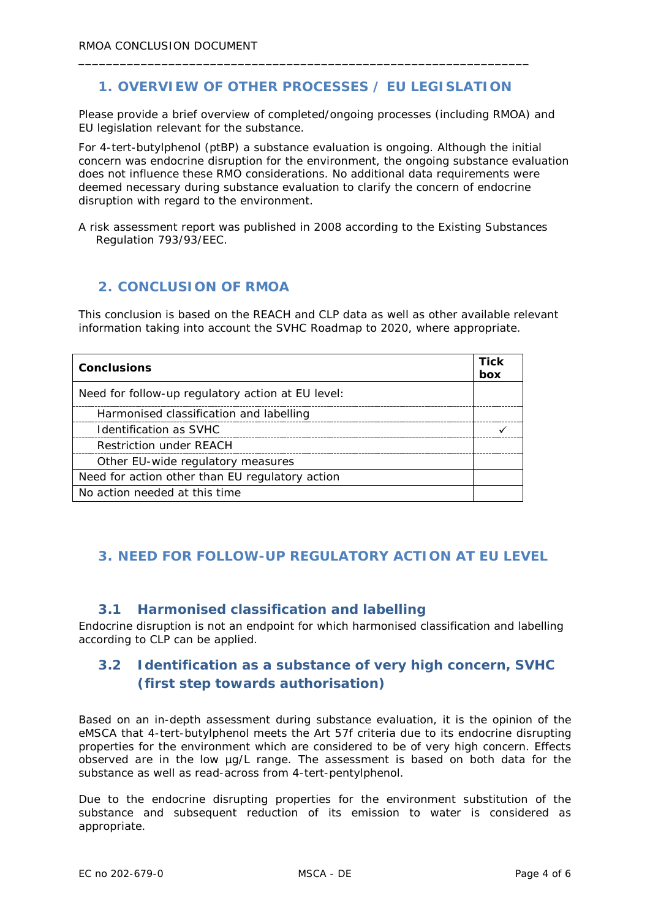### **1. OVERVIEW OF OTHER PROCESSES / EU LEGISLATION**

\_\_\_\_\_\_\_\_\_\_\_\_\_\_\_\_\_\_\_\_\_\_\_\_\_\_\_\_\_\_\_\_\_\_\_\_\_\_\_\_\_\_\_\_\_\_\_\_\_\_\_\_\_\_\_\_\_\_\_\_\_\_\_\_\_

*Please provide a brief overview of completed/ongoing processes (including RMOA) and EU legislation relevant for the substance.*

For 4-tert-butylphenol (ptBP) a substance evaluation is ongoing. Although the initial concern was endocrine disruption for the environment, the ongoing substance evaluation does not influence these RMO considerations. No additional data requirements were deemed necessary during substance evaluation to clarify the concern of endocrine disruption with regard to the environment.

A risk assessment report was published in 2008 according to the Existing Substances Regulation 793/93/EEC.

### **2. CONCLUSION OF RMOA**

This conclusion is based on the REACH and CLP data as well as other available relevant information taking into account the SVHC Roadmap to 2020, where appropriate.

| <b>Conclusions</b>                                | <b>Tick</b><br>box |
|---------------------------------------------------|--------------------|
| Need for follow-up regulatory action at EU level: |                    |
| Harmonised classification and labelling           |                    |
| Identification as SVHC                            |                    |
| <b>Restriction under REACH</b>                    |                    |
| Other EU-wide regulatory measures                 |                    |
| Need for action other than EU regulatory action   |                    |
| No action needed at this time                     |                    |

### **3. NEED FOR FOLLOW-UP REGULATORY ACTION AT EU LEVEL**

#### **3.1 Harmonised classification and labelling**

Endocrine disruption is not an endpoint for which harmonised classification and labelling according to CLP can be applied.

## **3.2 Identification as a substance of very high concern, SVHC (first step towards authorisation)**

Based on an in-depth assessment during substance evaluation, it is the opinion of the eMSCA that 4-tert-butylphenol meets the Art 57f criteria due to its endocrine disrupting properties for the environment which are considered to be of very high concern. Effects observed are in the low µg/L range. The assessment is based on both data for the substance as well as read-across from 4-tert-pentylphenol.

Due to the endocrine disrupting properties for the environment substitution of the substance and subsequent reduction of its emission to water is considered as appropriate.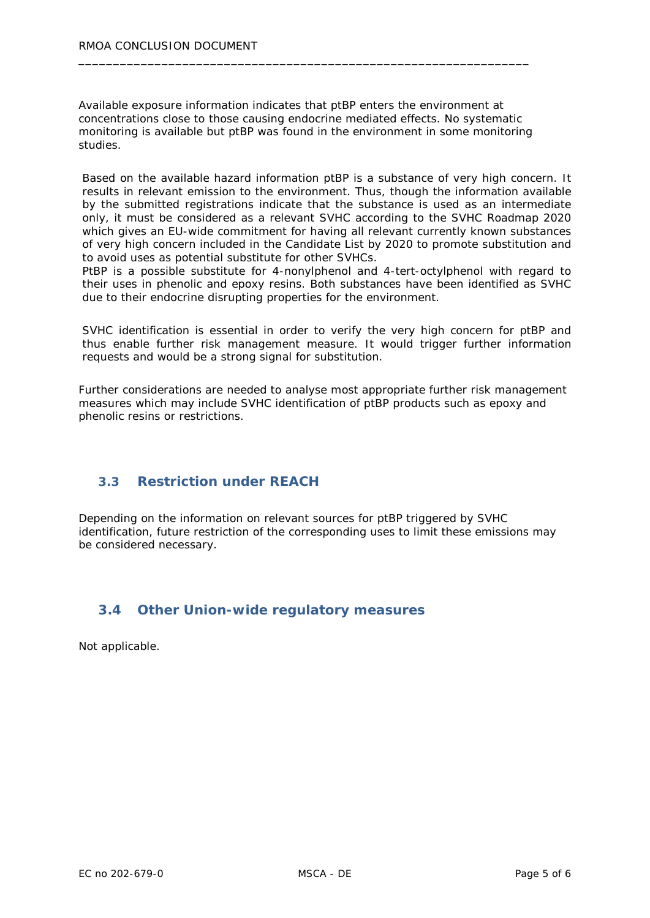Available exposure information indicates that ptBP enters the environment at concentrations close to those causing endocrine mediated effects. No systematic monitoring is available but ptBP was found in the environment in some monitoring studies.

\_\_\_\_\_\_\_\_\_\_\_\_\_\_\_\_\_\_\_\_\_\_\_\_\_\_\_\_\_\_\_\_\_\_\_\_\_\_\_\_\_\_\_\_\_\_\_\_\_\_\_\_\_\_\_\_\_\_\_\_\_\_\_\_\_

Based on the available hazard information ptBP is a substance of very high concern. It results in relevant emission to the environment. Thus, though the information available by the submitted registrations indicate that the substance is used as an intermediate only, it must be considered as a relevant SVHC according to the SVHC Roadmap 2020 which gives an EU-wide commitment for having all relevant currently known substances of very high concern included in the Candidate List by 2020 to promote substitution and to avoid uses as potential substitute for other SVHCs.

PtBP is a possible substitute for 4-nonylphenol and 4-tert-octylphenol with regard to their uses in phenolic and epoxy resins. Both substances have been identified as SVHC due to their endocrine disrupting properties for the environment.

SVHC identification is essential in order to verify the very high concern for ptBP and thus enable further risk management measure. It would trigger further information requests and would be a strong signal for substitution.

Further considerations are needed to analyse most appropriate further risk management measures which may include SVHC identification of ptBP products such as epoxy and phenolic resins or restrictions.

### **3.3 Restriction under REACH**

Depending on the information on relevant sources for ptBP triggered by SVHC identification, future restriction of the corresponding uses to limit these emissions may be considered necessary.

### **3.4 Other Union-wide regulatory measures**

Not applicable.